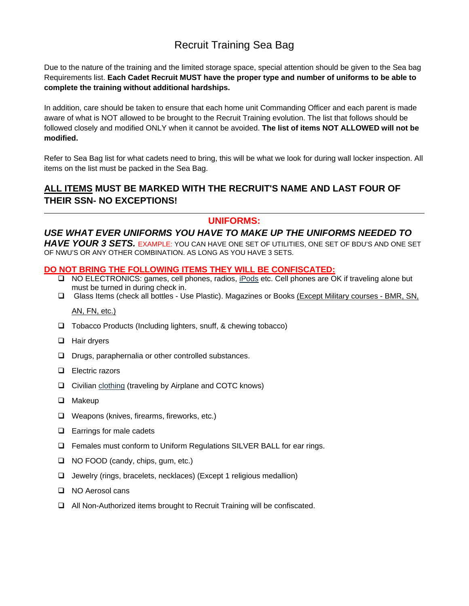# Recruit Training Sea Bag

Due to the nature of the training and the limited storage space, special attention should be given to the Sea bag Requirements list. **Each Cadet Recruit MUST have the proper type and number of uniforms to be able to complete the training without additional hardships.** 

In addition, care should be taken to ensure that each home unit Commanding Officer and each parent is made aware of what is NOT allowed to be brought to the Recruit Training evolution. The list that follows should be followed closely and modified ONLY when it cannot be avoided. **The list of items NOT ALLOWED will not be modified.** 

Refer to Sea Bag list for what cadets need to bring, this will be what we look for during wall locker inspection. All items on the list must be packed in the Sea Bag.

## **ALL ITEMS MUST BE MARKED WITH THE RECRUIT'S NAME AND LAST FOUR OF THEIR SSN- NO EXCEPTIONS!**

### **UNIFORMS:**

*USE WHAT EVER UNIFORMS YOU HAVE TO MAKE UP THE UNIFORMS NEEDED TO*  HAVE YOUR 3 SETS. EXAMPLE: YOU CAN HAVE ONE SET OF UTILITIES, ONE SET OF BDU'S AND ONE SET OF NWU'S OR ANY OTHER COMBINATION. AS LONG AS YOU HAVE 3 SETS.

#### **DO NOT BRING THE FOLLOWING ITEMS THEY WILL BE CONFISCATED:**

- □ NO ELECTRONICS: games, cell phones, radios, iPods etc. Cell phones are OK if traveling alone but must be turned in during check in.
- Glass Items (check all bottles Use Plastic). Magazines or Books (Except Military courses BMR, SN,

### AN, FN, etc.)

- $\Box$  Tobacco Products (Including lighters, snuff, & chewing tobacco)
- □ Hair dryers
- $\Box$  Drugs, paraphernalia or other controlled substances.
- **Electric razors**
- $\Box$  Civilian clothing (traveling by Airplane and COTC knows)
- $\Box$  Makeup
- □ Weapons (knives, firearms, fireworks, etc.)
- $\Box$  Earrings for male cadets
- Females must conform to Uniform Regulations SILVER BALL for ear rings.
- □ NO FOOD (candy, chips, gum, etc.)
- Jewelry (rings, bracelets, necklaces) (Except 1 religious medallion)
- □ NO Aerosol cans
- All Non-Authorized items brought to Recruit Training will be confiscated.